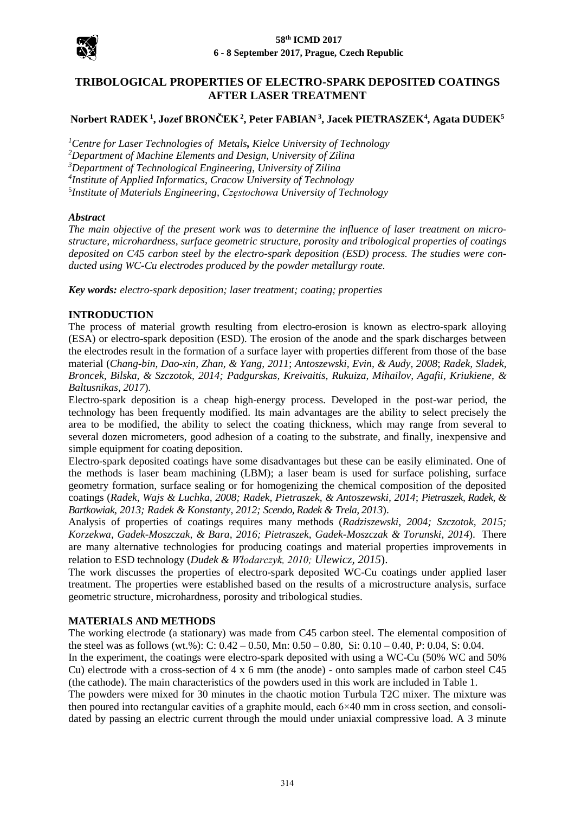



# **[TRIBOLOGICAL PROPERTIES OF ELECTRO-SPARK DEPOSITED COATINGS](http://dorobek.tu.kielce.pl/publikacje/publikacje.php?publikacjaID=28454)  [AFTER](http://dorobek.tu.kielce.pl/publikacje/publikacje.php?publikacjaID=28454) LASER TREATMENT**

# **Norbert RADEK <sup>1</sup> , Jozef BRONČEK <sup>2</sup> , Peter FABIAN <sup>3</sup> , Jacek PIETRASZEK<sup>4</sup> , Agata DUDEK<sup>5</sup>**

*Centre for Laser Technologies of Metals, Kielce University of Technology Department of Machine Elements and Design, University of Zilina Department of Technological Engineering*, *University of Zilina Institute of Applied Informatics*, *Cracow University of Technology Institute of Materials Engineering, Częstochowa University of Technology*

#### *Abstract*

*The main objective of the present work was to determine the influence of laser treatment on microstructure, microhardness, surface geometric structure, porosity and tribological properties of coatings deposited on C45 carbon steel by the electro-spark deposition (ESD) process. The studies were conducted using WC-Cu electrodes produced by the powder metallurgy route.*

*Key words: electro-spark deposition; laser treatment; coating; properties*

#### **INTRODUCTION**

The process of material growth resulting from electro-erosion is known as electro-spark alloying (ESA) or electro-spark deposition (ESD). The erosion of the anode and the spark discharges between the electrodes result in the formation of a surface layer with properties different from those of the base material (*Chang-bin, Dao-xin, Zhan, & Yang, 2011*; *Antoszewski, Evin, & Audy, 2008*; *Radek, Sladek, Broncek, Bilska, & Szczotok, 2014; Padgurskas, Kreivaitis, Rukuiza, Mihailov, Agafii, Kriukiene, & Baltusnikas, 2017*).

Electro-spark deposition is a cheap high-energy process. Developed in the post-war period, the technology has been frequently modified. Its main advantages are the ability to select precisely the area to be modified, the ability to select the coating thickness, which may range from several to several dozen micrometers, good adhesion of a coating to the substrate, and finally, inexpensive and simple equipment for coating deposition.

Electro-spark deposited coatings have some disadvantages but these can be easily eliminated. One of the methods is laser beam machining (LBM); a laser beam is used for surface polishing, surface geometry formation, surface sealing or for homogenizing the chemical composition of the deposited coatings (*Radek, Wajs & Luchka, 2008; Radek, Pietraszek, & Antoszewski, 2014*; *Pietraszek, Radek, & Bartkowiak, 2013; Radek & Konstanty, 2012; Scendo, Radek & Trela, 2013*).

Analysis of properties of coatings requires many methods (*Radziszewski, 2004; Szczotok, 2015; Korzekwa, Gadek-Moszczak, & Bara, 2016; Pietraszek, Gadek-Moszczak & Torunski, 2014*). There are many alternative technologies for producing coatings and material properties improvements in relation to ESD technology (*Dudek & Włodarczyk, 2010; Ulewicz, 2015*).

The work discusses the properties of electro-spark deposited WC-Cu coatings under applied laser treatment. The properties were established based on the results of a microstructure analysis, surface geometric structure, microhardness, porosity and tribological studies.

#### **MATERIALS AND METHODS**

The working electrode (a stationary) was made from C45 carbon steel. The elemental composition of the steel was as follows (wt.%): C:  $0.42 - 0.50$ , Mn:  $0.50 - 0.80$ , Si:  $0.10 - 0.40$ , P:  $0.04$ , S:  $0.04$ .

In the experiment, the coatings were electro-spark deposited with using a WC-Cu (50% WC and 50% Cu) electrode with a cross-section of 4 x 6 mm (the anode) - onto samples made of carbon steel C45 (the cathode). The main characteristics of the powders used in this work are included in Table 1.

The powders were mixed for 30 minutes in the chaotic motion Turbula T2C mixer. The mixture was then poured into rectangular cavities of a graphite mould, each  $6\times40$  mm in cross section, and consolidated by passing an electric current through the mould under uniaxial compressive load. A 3 minute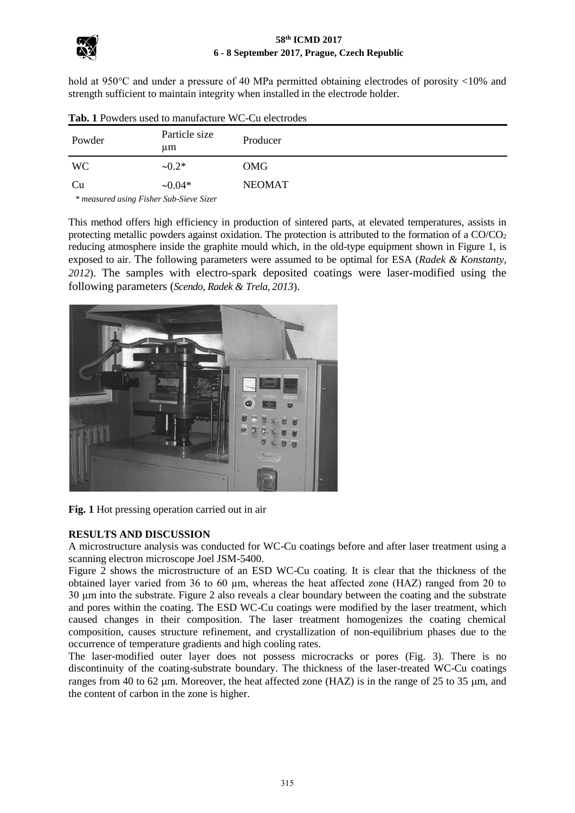

### **58th ICMD 2017 6 - 8 September 2017, Prague, Czech Republic**

hold at 950°C and under a pressure of 40 MPa permitted obtaining electrodes of porosity <10% and strength sufficient to maintain integrity when installed in the electrode holder.

| Powder                                  | Particle size<br>um | Producer      |
|-----------------------------------------|---------------------|---------------|
| <b>WC</b>                               | $-0.2*$             | OMG           |
| Cu                                      | $\sim 0.04*$        | <b>NEOMAT</b> |
| * measured using Fisher Sub-Sieve Sizer |                     |               |

**Tab. 1** Powders used to manufacture WC-Cu electrodes

 *\* measured using Fisher Sub-Sieve Sizer*

This method offers high efficiency in production of sintered parts, at elevated temperatures, assists in protecting metallic powders against oxidation. The protection is attributed to the formation of a  $CO/CO<sub>2</sub>$ reducing atmosphere inside the graphite mould which, in the old-type equipment shown in Figure 1, is exposed to air. The following parameters were assumed to be optimal for ESA (*Radek & Konstanty, 2012*). The samples with electro-spark deposited coatings were laser-modified using the following parameters (*Scendo, Radek & Trela, 2013*).



**Fig. 1** Hot pressing operation carried out in air

# **RESULTS AND DISCUSSION**

A microstructure analysis was conducted for WC-Cu coatings before and after laser treatment using a scanning electron microscope Joel JSM-5400.

Figure 2 shows the microstructure of an ESD WC-Cu coating. It is clear that the thickness of the obtained layer varied from 36 to 60 µm, whereas the heat affected zone (HAZ) ranged from 20 to 30 µm into the substrate. Figure 2 also reveals a clear boundary between the coating and the substrate and pores within the coating. The ESD WC-Cu coatings were modified by the laser treatment, which caused changes in their composition. The laser treatment homogenizes the coating chemical composition, causes structure refinement, and crystallization of non-equilibrium phases due to the occurrence of temperature gradients and high cooling rates.

The laser-modified outer layer does not possess microcracks or pores (Fig. 3). There is no discontinuity of the coating-substrate boundary. The thickness of the laser-treated WC-Cu coatings ranges from 40 to 62  $\mu$ m. Moreover, the heat affected zone (HAZ) is in the range of 25 to 35  $\mu$ m, and the content of carbon in the zone is higher.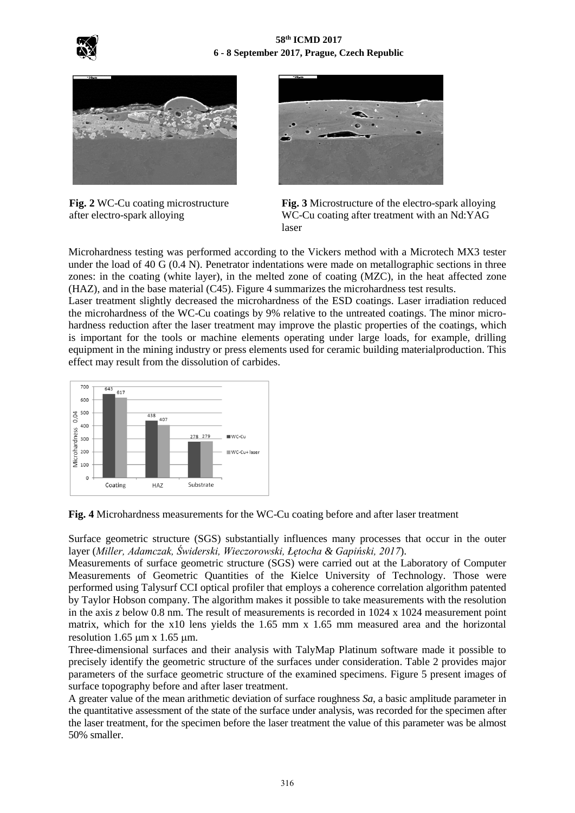



**Fig. 2** WC-Cu coating microstructure after electro-spark alloying



**Fig. 3** Microstructure of the electro-spark alloying WC-Cu coating after treatment with an Nd:YAG laser

Microhardness testing was performed according to the Vickers method with a Microtech MX3 tester under the load of 40 G (0.4 N). Penetrator indentations were made on metallographic sections in three zones: in the coating (white layer), in the melted zone of coating (MZC), in the heat affected zone (HAZ), and in the base material (C45). Figure 4 summarizes the microhardness test results.

Laser treatment slightly decreased the microhardness of the ESD coatings. Laser irradiation reduced the microhardness of the WC-Cu coatings by 9% relative to the untreated coatings. The minor microhardness reduction after the laser treatment may improve the plastic properties of the coatings, which is important for the tools or machine elements operating under large loads, for example, drilling equipment in the mining industry or press elements used for ceramic building materialproduction. This effect may result from the dissolution of carbides.



**Fig. 4** Microhardness measurements for the WC-Cu coating before and after laser treatment

Surface geometric structure (SGS) substantially influences many processes that occur in the outer layer (*Miller, Adamczak, Świderski, Wieczorowski, Łętocha & Gapiński, 2017*).

Measurements of surface geometric structure (SGS) were carried out at the Laboratory of Computer Measurements of Geometric Quantities of the Kielce University of Technology. Those were performed using Talysurf CCI optical profiler that employs a coherence correlation algorithm patented by Taylor Hobson company. The algorithm makes it possible to take measurements with the resolution in the axis *z* below 0.8 nm. The result of measurements is recorded in 1024 x 1024 measurement point matrix, which for the x10 lens yields the 1.65 mm x 1.65 mm measured area and the horizontal resolution 1.65  $\mu$ m x 1.65  $\mu$ m.

Three-dimensional surfaces and their analysis with TalyMap Platinum software made it possible to precisely identify the geometric structure of the surfaces under consideration. Table 2 provides major parameters of the surface geometric structure of the examined specimens. Figure 5 present images of surface topography before and after laser treatment.

A greater value of the mean arithmetic deviation of surface roughness *Sa*, a basic amplitude parameter in the quantitative assessment of the state of the surface under analysis, was recorded for the specimen after the laser treatment, for the specimen before the laser treatment the value of this parameter was be almost 50% smaller.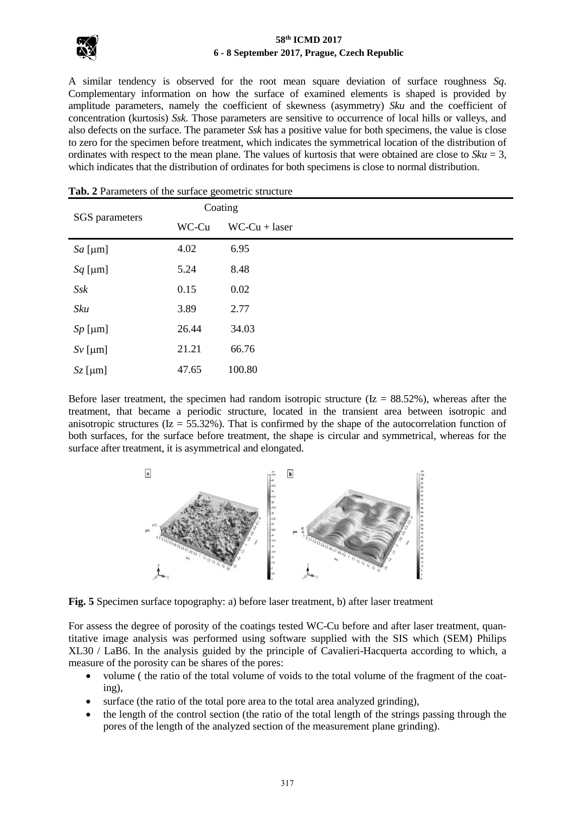

## **58th ICMD 2017 6 - 8 September 2017, Prague, Czech Republic**

A similar tendency is observed for the root mean square deviation of surface roughness *Sq*. Complementary information on how the surface of examined elements is shaped is provided by amplitude parameters, namely the coefficient of skewness (asymmetry) *Sku* and the coefficient of concentration (kurtosis) *Ssk*. Those parameters are sensitive to occurrence of local hills or valleys, and also defects on the surface. The parameter *Ssk* has a positive value for both specimens, the value is close to zero for the specimen before treatment, which indicates the symmetrical location of the distribution of ordinates with respect to the mean plane. The values of kurtosis that were obtained are close to  $Sku = 3$ , which indicates that the distribution of ordinates for both specimens is close to normal distribution.

|                 | $\circ$<br>Coating |                 |
|-----------------|--------------------|-----------------|
| SGS parameters  | WC-Cu              | $WC-Cu + laser$ |
| $Sa$ [µm]       | 4.02               | 6.95            |
| $Sq$ [µm]       | 5.24               | 8.48            |
| $S$ s $k$       | 0.15               | 0.02            |
| Sku             | 3.89               | 2.77            |
| $Sp$ [µm]       | 26.44              | 34.03           |
| $Sv$ [ $\mu$ m] | 21.21              | 66.76           |
| $Sz$ [ $\mu$ m] | 47.65              | 100.80          |

### **Tab. 2** Parameters of the surface geometric structure

Before laser treatment, the specimen had random isotropic structure ( $Iz = 88.52\%$ ), whereas after the treatment, that became a periodic structure, located in the transient area between isotropic and anisotropic structures ( $Iz = 55.32\%$ ). That is confirmed by the shape of the autocorrelation function of both surfaces, for the surface before treatment, the shape is circular and symmetrical, whereas for the surface after treatment, it is asymmetrical and elongated.



**Fig. 5** Specimen surface topography: a) before laser treatment, b) after laser treatment

For assess the degree of porosity of the coatings tested WC-Cu before and after laser treatment, quantitative image analysis was performed using software supplied with the SIS which (SEM) Philips XL30 / LaB6. In the analysis guided by the principle of Cavalieri-Hacquerta according to which, a measure of the porosity can be shares of the pores:

- volume ( the ratio of the total volume of voids to the total volume of the fragment of the coating),
- surface (the ratio of the total pore area to the total area analyzed grinding),
- the length of the control section (the ratio of the total length of the strings passing through the pores of the length of the analyzed section of the measurement plane grinding).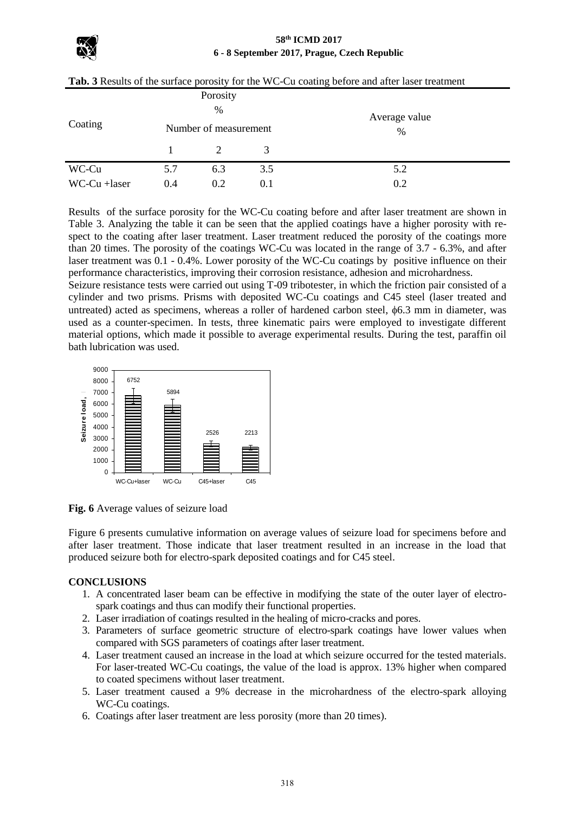#### **58th ICMD 2017 6 - 8 September 2017, Prague, Czech Republic**

|              | Porosity<br>%         |     |     |                    |
|--------------|-----------------------|-----|-----|--------------------|
| Coating      | Number of measurement |     |     | Average value<br>% |
|              |                       |     | 3   |                    |
| WC-Cu        | 5.7                   | 6.3 | 3.5 | 5.2                |
| WC-Cu +laser | 0.4                   | 0.2 | 0.1 | 0.2                |

Results of the surface porosity for the WC-Cu coating before and after laser treatment are shown in Table 3. Analyzing the table it can be seen that the applied coatings have a higher porosity with respect to the coating after laser treatment. Laser treatment reduced the porosity of the coatings more than 20 times. The porosity of the coatings WC-Cu was located in the range of 3.7 - 6.3%, and after laser treatment was 0.1 - 0.4%. Lower porosity of the WC-Cu coatings by positive influence on their performance characteristics, improving their corrosion resistance, adhesion and microhardness.

Seizure resistance tests were carried out using T-09 tribotester, in which the friction pair consisted of a cylinder and two prisms. Prisms with deposited WC-Cu coatings and C45 steel (laser treated and untreated) acted as specimens, whereas a roller of hardened carbon steel,  $\phi$ 6.3 mm in diameter, was used as a counter-specimen. In tests, three kinematic pairs were employed to investigate different material options, which made it possible to average experimental results. During the test, paraffin oil bath lubrication was used.



**Fig. 6** Average values of seizure load

Figure 6 presents cumulative information on average values of seizure load for specimens before and after laser treatment. Those indicate that laser treatment resulted in an increase in the load that produced seizure both for electro-spark deposited coatings and for C45 steel.

# **CONCLUSIONS**

- 1. A concentrated laser beam can be effective in modifying the state of the outer layer of electrospark coatings and thus can modify their functional properties.
- 2. Laser irradiation of coatings resulted in the healing of micro-cracks and pores.
- 3. Parameters of surface geometric structure of electro-spark coatings have lower values when compared with SGS parameters of coatings after laser treatment.
- 4. Laser treatment caused an increase in the load at which seizure occurred for the tested materials. For laser-treated WC-Cu coatings, the value of the load is approx. 13% higher when compared to coated specimens without laser treatment.
- 5. Laser treatment caused a 9% decrease in the microhardness of the electro-spark alloying WC-Cu coatings.
- 6. Coatings after laser treatment are less porosity (more than 20 times).